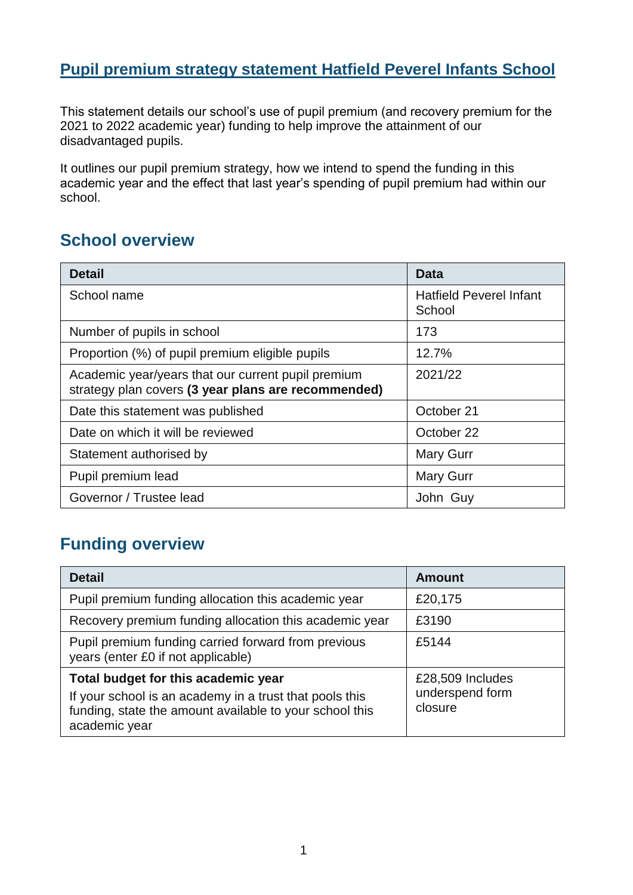#### **Pupil premium strategy statement Hatfield Peverel Infants School**

This statement details our school's use of pupil premium (and recovery premium for the 2021 to 2022 academic year) funding to help improve the attainment of our disadvantaged pupils.

It outlines our pupil premium strategy, how we intend to spend the funding in this academic year and the effect that last year's spending of pupil premium had within our school.

## **School overview**

| <b>Detail</b>                                                                                             | Data                                     |
|-----------------------------------------------------------------------------------------------------------|------------------------------------------|
| School name                                                                                               | <b>Hatfield Peverel Infant</b><br>School |
| Number of pupils in school                                                                                | 173                                      |
| Proportion (%) of pupil premium eligible pupils                                                           | 12.7%                                    |
| Academic year/years that our current pupil premium<br>strategy plan covers (3 year plans are recommended) | 2021/22                                  |
| Date this statement was published                                                                         | October 21                               |
| Date on which it will be reviewed                                                                         | October 22                               |
| Statement authorised by                                                                                   | <b>Mary Gurr</b>                         |
| Pupil premium lead                                                                                        | <b>Mary Gurr</b>                         |
| Governor / Trustee lead                                                                                   | John Guy                                 |

## **Funding overview**

| <b>Detail</b>                                                                                                                                                              | <b>Amount</b>                                  |
|----------------------------------------------------------------------------------------------------------------------------------------------------------------------------|------------------------------------------------|
| Pupil premium funding allocation this academic year                                                                                                                        | £20,175                                        |
| Recovery premium funding allocation this academic year                                                                                                                     | £3190                                          |
| Pupil premium funding carried forward from previous<br>years (enter £0 if not applicable)                                                                                  | £5144                                          |
| Total budget for this academic year<br>If your school is an academy in a trust that pools this<br>funding, state the amount available to your school this<br>academic year | £28,509 Includes<br>underspend form<br>closure |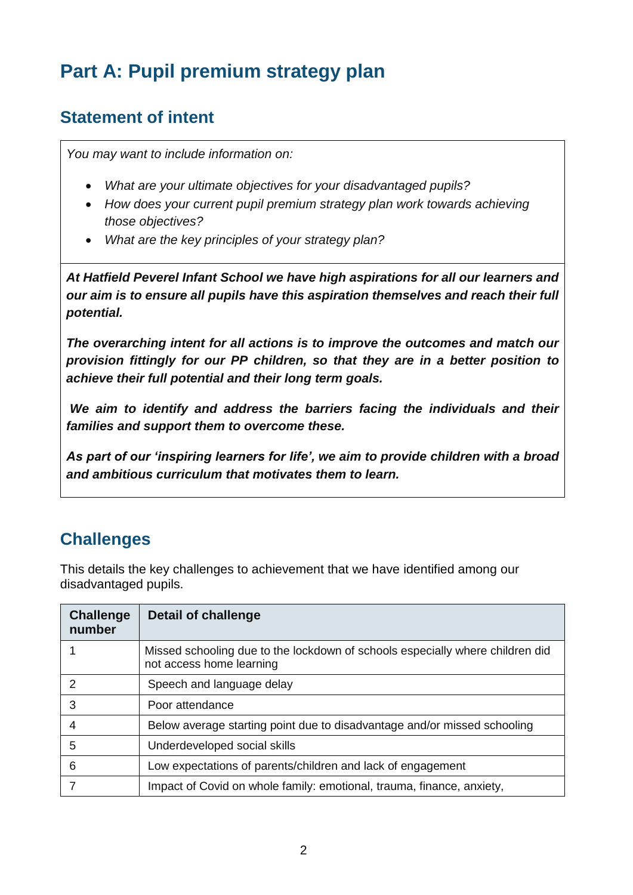# **Part A: Pupil premium strategy plan**

## **Statement of intent**

*You may want to include information on:*

- *What are your ultimate objectives for your disadvantaged pupils?*
- *How does your current pupil premium strategy plan work towards achieving those objectives?*
- *What are the key principles of your strategy plan?*

*At Hatfield Peverel Infant School we have high aspirations for all our learners and our aim is to ensure all pupils have this aspiration themselves and reach their full potential.* 

*The overarching intent for all actions is to improve the outcomes and match our provision fittingly for our PP children, so that they are in a better position to achieve their full potential and their long term goals.* 

*We aim to identify and address the barriers facing the individuals and their families and support them to overcome these.* 

*As part of our 'inspiring learners for life', we aim to provide children with a broad and ambitious curriculum that motivates them to learn.* 

## **Challenges**

This details the key challenges to achievement that we have identified among our disadvantaged pupils.

| <b>Challenge</b><br>number | <b>Detail of challenge</b>                                                                                |
|----------------------------|-----------------------------------------------------------------------------------------------------------|
|                            | Missed schooling due to the lockdown of schools especially where children did<br>not access home learning |
|                            | Speech and language delay                                                                                 |
| 3                          | Poor attendance                                                                                           |
| 4                          | Below average starting point due to disadvantage and/or missed schooling                                  |
| 5                          | Underdeveloped social skills                                                                              |
| 6                          | Low expectations of parents/children and lack of engagement                                               |
|                            | Impact of Covid on whole family: emotional, trauma, finance, anxiety,                                     |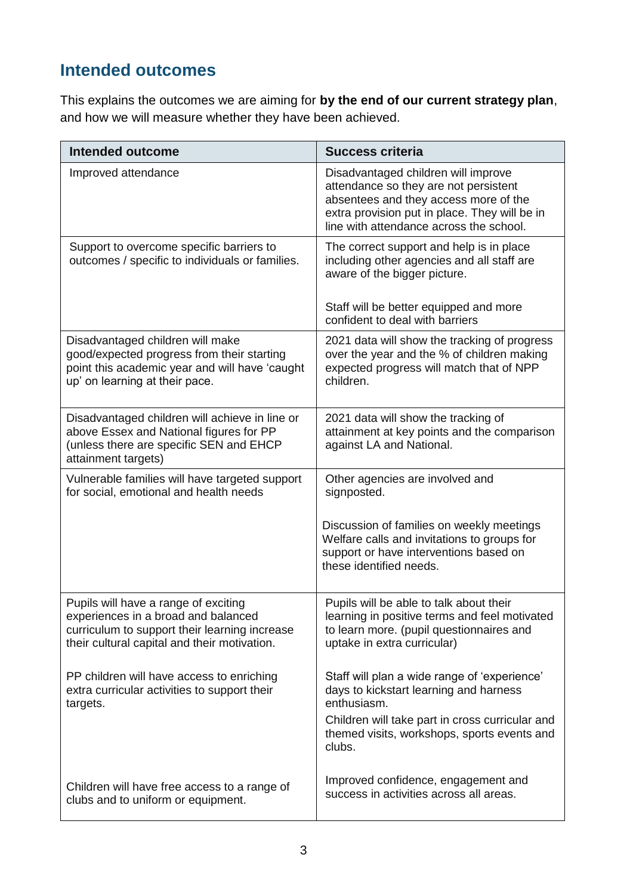## **Intended outcomes**

This explains the outcomes we are aiming for **by the end of our current strategy plan**, and how we will measure whether they have been achieved.

| <b>Intended outcome</b>                                                                                                                                                      | <b>Success criteria</b>                                                                                                                                                                                           |
|------------------------------------------------------------------------------------------------------------------------------------------------------------------------------|-------------------------------------------------------------------------------------------------------------------------------------------------------------------------------------------------------------------|
| Improved attendance                                                                                                                                                          | Disadvantaged children will improve<br>attendance so they are not persistent<br>absentees and they access more of the<br>extra provision put in place. They will be in<br>line with attendance across the school. |
| Support to overcome specific barriers to<br>outcomes / specific to individuals or families.                                                                                  | The correct support and help is in place<br>including other agencies and all staff are<br>aware of the bigger picture.                                                                                            |
|                                                                                                                                                                              | Staff will be better equipped and more<br>confident to deal with barriers                                                                                                                                         |
| Disadvantaged children will make<br>good/expected progress from their starting<br>point this academic year and will have 'caught<br>up' on learning at their pace.           | 2021 data will show the tracking of progress<br>over the year and the % of children making<br>expected progress will match that of NPP<br>children.                                                               |
| Disadvantaged children will achieve in line or<br>above Essex and National figures for PP<br>(unless there are specific SEN and EHCP<br>attainment targets)                  | 2021 data will show the tracking of<br>attainment at key points and the comparison<br>against LA and National.                                                                                                    |
| Vulnerable families will have targeted support<br>for social, emotional and health needs                                                                                     | Other agencies are involved and<br>signposted.                                                                                                                                                                    |
|                                                                                                                                                                              | Discussion of families on weekly meetings<br>Welfare calls and invitations to groups for<br>support or have interventions based on<br>these identified needs.                                                     |
| Pupils will have a range of exciting<br>experiences in a broad and balanced<br>curriculum to support their learning increase<br>their cultural capital and their motivation. | Pupils will be able to talk about their<br>learning in positive terms and feel motivated<br>to learn more. (pupil questionnaires and<br>uptake in extra curricular)                                               |
| PP children will have access to enriching<br>extra curricular activities to support their<br>targets.                                                                        | Staff will plan a wide range of 'experience'<br>days to kickstart learning and harness<br>enthusiasm.<br>Children will take part in cross curricular and<br>themed visits, workshops, sports events and<br>clubs. |
| Children will have free access to a range of<br>clubs and to uniform or equipment.                                                                                           | Improved confidence, engagement and<br>success in activities across all areas.                                                                                                                                    |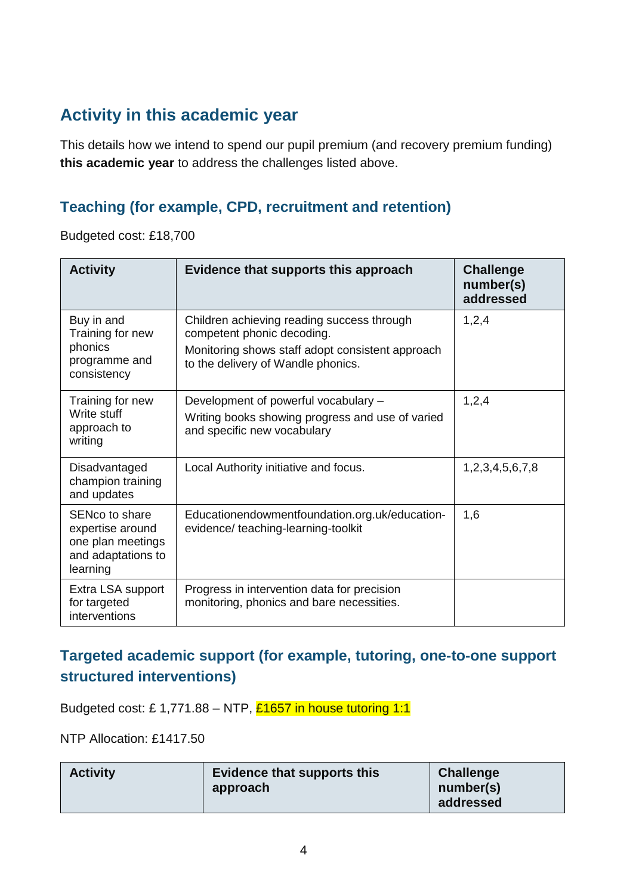## **Activity in this academic year**

This details how we intend to spend our pupil premium (and recovery premium funding) **this academic year** to address the challenges listed above.

#### **Teaching (for example, CPD, recruitment and retention)**

Budgeted cost: £18,700

| <b>Activity</b>                                                                           | Evidence that supports this approach                                                                                                                               | <b>Challenge</b><br>number(s)<br>addressed |
|-------------------------------------------------------------------------------------------|--------------------------------------------------------------------------------------------------------------------------------------------------------------------|--------------------------------------------|
| Buy in and<br>Training for new<br>phonics<br>programme and<br>consistency                 | Children achieving reading success through<br>competent phonic decoding.<br>Monitoring shows staff adopt consistent approach<br>to the delivery of Wandle phonics. | 1,2,4                                      |
| Training for new<br>Write stuff<br>approach to<br>writing                                 | Development of powerful vocabulary -<br>Writing books showing progress and use of varied<br>and specific new vocabulary                                            | 1,2,4                                      |
| Disadvantaged<br>champion training<br>and updates                                         | Local Authority initiative and focus.                                                                                                                              | 1,2,3,4,5,6,7,8                            |
| SENco to share<br>expertise around<br>one plan meetings<br>and adaptations to<br>learning | Educationendowmentfoundation.org.uk/education-<br>evidence/ teaching-learning-toolkit                                                                              | 1,6                                        |
| Extra LSA support<br>for targeted<br>interventions                                        | Progress in intervention data for precision<br>monitoring, phonics and bare necessities.                                                                           |                                            |

#### **Targeted academic support (for example, tutoring, one-to-one support structured interventions)**

Budgeted cost: £ 1,771.88 – NTP, £1657 in house tutoring 1:1

NTP Allocation: £1417.50

| <b>Activity</b> | <b>Evidence that supports this</b><br>approach | <b>Challenge</b><br>number(s)<br>addressed |
|-----------------|------------------------------------------------|--------------------------------------------|
|-----------------|------------------------------------------------|--------------------------------------------|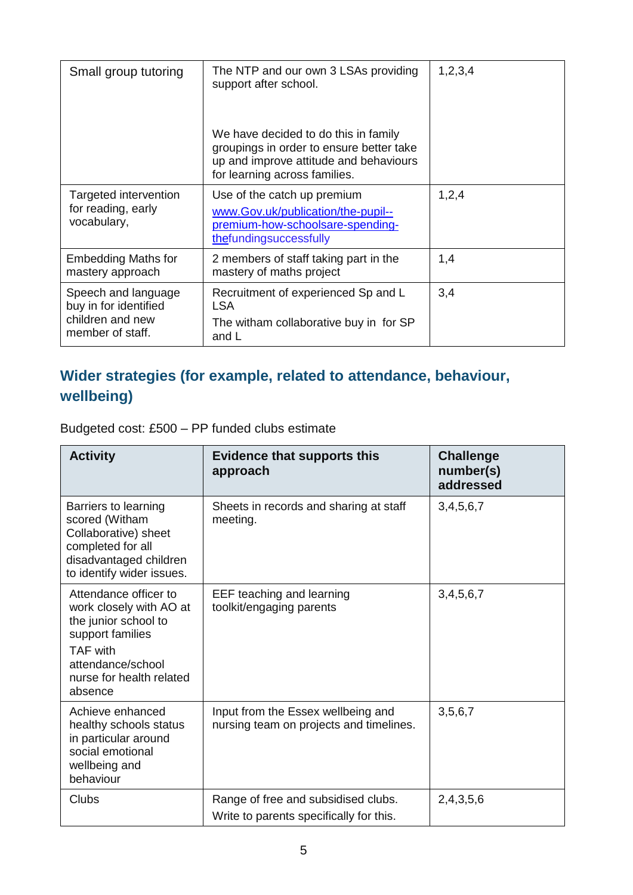| Small group tutoring                                                                 | The NTP and our own 3 LSAs providing<br>support after school.                                                                                               | 1,2,3,4 |
|--------------------------------------------------------------------------------------|-------------------------------------------------------------------------------------------------------------------------------------------------------------|---------|
|                                                                                      | We have decided to do this in family<br>groupings in order to ensure better take<br>up and improve attitude and behaviours<br>for learning across families. |         |
| Targeted intervention<br>for reading, early<br>vocabulary,                           | Use of the catch up premium<br>www.Gov.uk/publication/the-pupil--<br>premium-how-schoolsare-spending-<br>thefundingsuccessfully                             | 1,2,4   |
| <b>Embedding Maths for</b><br>mastery approach                                       | 2 members of staff taking part in the<br>mastery of maths project                                                                                           | 1,4     |
| Speech and language<br>buy in for identified<br>children and new<br>member of staff. | Recruitment of experienced Sp and L<br>LSA<br>The witham collaborative buy in for SP<br>and L                                                               | 3,4     |

## **Wider strategies (for example, related to attendance, behaviour, wellbeing)**

Budgeted cost: £500 – PP funded clubs estimate

| <b>Activity</b>                                                                                                                                                             | <b>Evidence that supports this</b><br>approach                                 | <b>Challenge</b><br>number(s)<br>addressed |
|-----------------------------------------------------------------------------------------------------------------------------------------------------------------------------|--------------------------------------------------------------------------------|--------------------------------------------|
| Barriers to learning<br>scored (Witham<br>Collaborative) sheet<br>completed for all<br>disadvantaged children<br>to identify wider issues.                                  | Sheets in records and sharing at staff<br>meeting.                             | 3,4,5,6,7                                  |
| Attendance officer to<br>work closely with AO at<br>the junior school to<br>support families<br><b>TAF with</b><br>attendance/school<br>nurse for health related<br>absence | EEF teaching and learning<br>toolkit/engaging parents                          | 3,4,5,6,7                                  |
| Achieve enhanced<br>healthy schools status<br>in particular around<br>social emotional<br>wellbeing and<br>behaviour                                                        | Input from the Essex wellbeing and<br>nursing team on projects and timelines.  | 3,5,6,7                                    |
| Clubs                                                                                                                                                                       | Range of free and subsidised clubs.<br>Write to parents specifically for this. | 2,4,3,5,6                                  |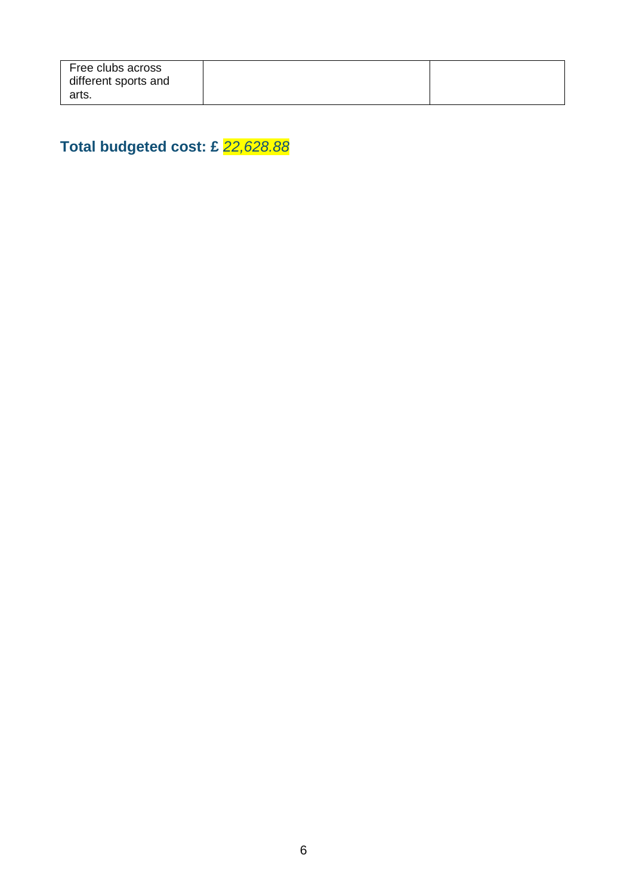| Free clubs across<br>different sports and |  |
|-------------------------------------------|--|
| arts.                                     |  |

**Total budgeted cost: £** *22,628.88*